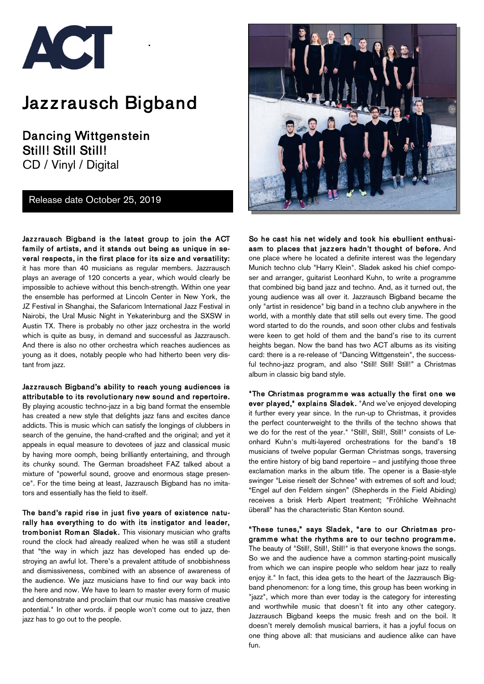

# Jaz z rausch Bigband

Dancing Wittgenstein Still! Still Still! CD / Vinyl / Digital

Release date October 25, 2019

Jazzrausch Bigband is the latest group to join the ACT fam ily of artists, and it stands out being as unique in several respects, in the first place for its size and versatility: it has more than 40 musicians as regular members. Jazzrausch plays an average of 120 concerts a year, which would clearly be impossible to achieve without this bench-strength. Within one year the ensemble has performed at Lincoln Center in New York, the JZ Festival in Shanghai, the Safaricom International Jazz Festival in Nairobi, the Ural Music Night in Yekaterinburg and the SXSW in Austin TX. There is probably no other jazz orchestra in the world which is quite as busy, in demand and successful as Jazzrausch. And there is also no other orchestra which reaches audiences as young as it does, notably people who had hitherto been very distant from jazz.

Jazzrausch Bigband's ability to reach young audiences is attributable to its revolutionary new sound and repertoire. By playing acoustic techno-jazz in a big band format the ensemble has created a new style that delights jazz fans and excites dance addicts. This is music which can satisfy the longings of clubbers in search of the genuine, the hand-crafted and the original; and yet it appeals in equal measure to devotees of jazz and classical music by having more oomph, being brilliantly entertaining, and through its chunky sound. The German broadsheet FAZ talked about a mixture of "powerful sound, groove and enormous stage presence". For the time being at least, Jazzrausch Bigband has no imitators and essentially has the field to itself.

The band's rapid rise in just five years of existence naturally has everything to do with its instigator and leader, trom bonist Roman Sladek. This visionary musician who grafts round the clock had already realized when he was still a student that "the way in which jazz has developed has ended up destroying an awful lot. There's a prevalent attitude of snobbishness and dismissiveness, combined with an absence of awareness of the audience. We jazz musicians have to find our way back into the here and now. We have to learn to master every form of music and demonstrate and proclaim that our music has massive creative potential." In other words. if people won't come out to jazz, then jazz has to go out to the people.



So he cast his net widely and took his ebullient enthusiasm to places that jazzers hadn't thought of before. And one place where he located a definite interest was the legendary Munich techno club "Harry Klein". Sladek asked his chief composer and arranger, guitarist Leonhard Kuhn, to write a programme that combined big band jazz and techno. And, as it turned out, the young audience was all over it. Jazzrausch Bigband became the only "artist in residence" big band in a techno club anywhere in the world, with a monthly date that still sells out every time. The good word started to do the rounds, and soon other clubs and festivals were keen to get hold of them and the band's rise to its current heights began. Now the band has two ACT albums as its visiting card: there is a re-release of "Dancing Wittgenstein", the successful techno-jazz program, and also "Still! Still! Still!" a Christmas album in classic big band style.

"The Christmas programme was actually the first one we ever played," explains Sladek. "And we've enjoyed developing it further every year since. In the run-up to Christmas, it provides the perfect counterweight to the thrills of the techno shows that we do for the rest of the year." "Still!, Still!, Still!" consists of Leonhard Kuhn's multi-layered orchestrations for the band's 18 musicians of twelve popular German Christmas songs, traversing the entire history of big band repertoire – and justifying those three exclamation marks in the album title. The opener is a Basie-style swinger "Leise rieselt der Schnee" with extremes of soft and loud; "Engel auf den Feldern singen" (Shepherds in the Field Abiding) receives a brisk Herb Alpert treatment; "Fröhliche Weihnacht überall" has the characteristic Stan Kenton sound.

"These tunes," says Sladek, "are to our Christm as programme what the rhythms are to our techno programme. The beauty of "Still!, Still!, Still!" is that everyone knows the songs. So we and the audience have a common starting-point musically from which we can inspire people who seldom hear jazz to really enjoy it." In fact, this idea gets to the heart of the Jazzrausch Bigband phenomenon: for a long time, this group has been working in "jazz", which more than ever today is the category for interesting and worthwhile music that doesn't fit into any other category. Jazzrausch Bigband keeps the music fresh and on the boil. It doesn't merely demolish musical barriers, it has a joyful focus on one thing above all: that musicians and audience alike can have fun.